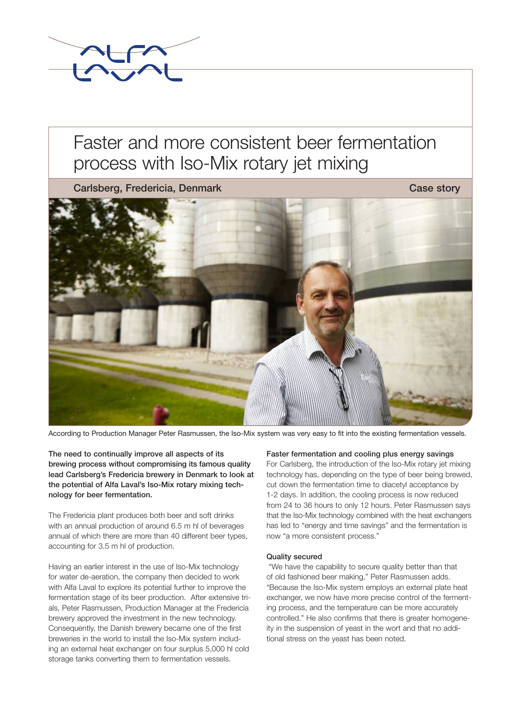

# Faster and more consistent beer fermentation process with Iso-Mix rotary jet mixing

Carlsberg, Fredericia, Denmark Case story Case story



According to Production Manager Peter Rasmussen, the Iso-Mix system was very easy to fit into the existing fermentation vessels.

The need to continually improve all aspects of its brewing process without compromising its famous quality lead Carlsberg's Fredericia brewery in Denmark to look at the potential of Alfa Laval's Iso-Mix rotary mixing technology for beer fermentation.

The Fredericia plant produces both beer and soft drinks with an annual production of around 6.5 m hl of beverages annual of which there are more than 40 different beer types, accounting for 3.5 m hl of production.

Having an earlier interest in the use of Iso-Mix technology for water de-aeration, the company then decided to work with Alfa Laval to explore its potential further to improve the fermentation stage of its beer production. After extensive trials, Peter Rasmussen, Production Manager at the Fredericia brewery approved the investment in the new technology. Consequently, the Danish brewery became one of the first breweries in the world to install the Iso-Mix system including an external heat exchanger on four surplus 5,000 hl cold storage tanks converting them to fermentation vessels.

#### Faster fermentation and cooling plus energy savings

For Carlsberg, the introduction of the Iso-Mix rotary jet mixing technology has, depending on the type of beer being brewed, cut down the fermentation time to diacetyl acceptance by 1-2 days. In addition, the cooling process is now reduced from 24 to 36 hours to only 12 hours. Peter Rasmussen says that the Iso-Mix technology combined with the heat exchangers has led to "energy and time savings" and the fermentation is now "a more consistent process."

## Quality secured

 "We have the capability to secure quality better than that of old fashioned beer making," Peter Rasmussen adds. "Because the Iso-Mix system employs an external plate heat exchanger, we now have more precise control of the fermenting process, and the temperature can be more accurately controlled." He also confirms that there is greater homogeneity in the suspension of yeast in the wort and that no additional stress on the yeast has been noted.